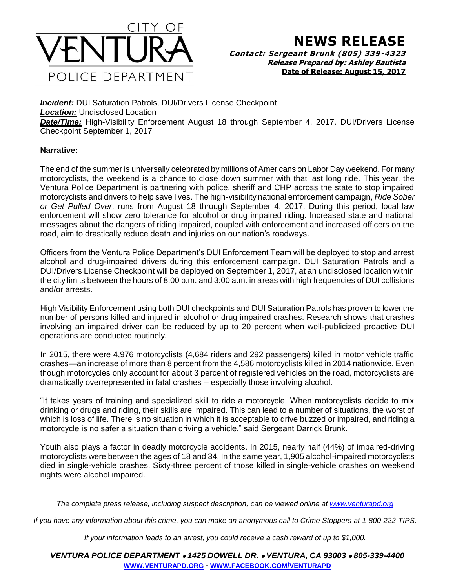

## **NEWS RELEASE**

**Contact: Sergeant Brunk (805) 339-4323 Release Prepared by: Ashley Bautista Date of Release: August 15, 2017**

**Incident:** DUI Saturation Patrols, DUI/Drivers License Checkpoint *Location:* Undisclosed Location *Date/Time:* High-Visibility Enforcement August 18 through September 4, 2017. DUI/Drivers License Checkpoint September 1, 2017

## **Narrative:**

The end of the summer is universally celebrated by millions of Americans on Labor Day weekend. For many motorcyclists, the weekend is a chance to close down summer with that last long ride. This year, the Ventura Police Department is partnering with police, sheriff and CHP across the state to stop impaired motorcyclists and drivers to help save lives. The high-visibility national enforcement campaign, *Ride Sober or Get Pulled Over*, runs from August 18 through September 4, 2017. During this period, local law enforcement will show zero tolerance for alcohol or drug impaired riding. Increased state and national messages about the dangers of riding impaired, coupled with enforcement and increased officers on the road, aim to drastically reduce death and injuries on our nation's roadways.

Officers from the Ventura Police Department's DUI Enforcement Team will be deployed to stop and arrest alcohol and drug-impaired drivers during this enforcement campaign. DUI Saturation Patrols and a DUI/Drivers License Checkpoint will be deployed on September 1, 2017, at an undisclosed location within the city limits between the hours of 8:00 p.m. and 3:00 a.m. in areas with high frequencies of DUI collisions and/or arrests.

High Visibility Enforcement using both DUI checkpoints and DUI Saturation Patrols has proven to lower the number of persons killed and injured in alcohol or drug impaired crashes. Research shows that crashes involving an impaired driver can be reduced by up to 20 percent when well-publicized proactive DUI operations are conducted routinely.

In 2015, there were 4,976 motorcyclists (4,684 riders and 292 passengers) killed in motor vehicle traffic crashes—an increase of more than 8 percent from the 4,586 motorcyclists killed in 2014 nationwide. Even though motorcycles only account for about 3 percent of registered vehicles on the road, motorcyclists are dramatically overrepresented in fatal crashes – especially those involving alcohol.

"It takes years of training and specialized skill to ride a motorcycle. When motorcyclists decide to mix drinking or drugs and riding, their skills are impaired. This can lead to a number of situations, the worst of which is loss of life. There is no situation in which it is acceptable to drive buzzed or impaired, and riding a motorcycle is no safer a situation than driving a vehicle," said Sergeant Darrick Brunk.

Youth also plays a factor in deadly motorcycle accidents. In 2015, nearly half (44%) of impaired-driving motorcyclists were between the ages of 18 and 34. In the same year, 1,905 alcohol-impaired motorcyclists died in single-vehicle crashes. Sixty-three percent of those killed in single-vehicle crashes on weekend nights were alcohol impaired.

*The complete press release, including suspect description, can be viewed online at [www.venturapd.org](http://www.venturapd.org/)*

*If you have any information about this crime, you can make an anonymous call to Crime Stoppers at 1-800-222-TIPS.*

*If your information leads to an arrest, you could receive a cash reward of up to \$1,000.*

*VENTURA POLICE DEPARTMENT 1425 DOWELL DR. VENTURA, CA 93003 805-339-4400* **WWW.[VENTURAPD](http://www.venturapd.org/).ORG** *-* **WWW.FACEBOOK.COM/[VENTURAPD](http://www.facebook.com/venturapd)**